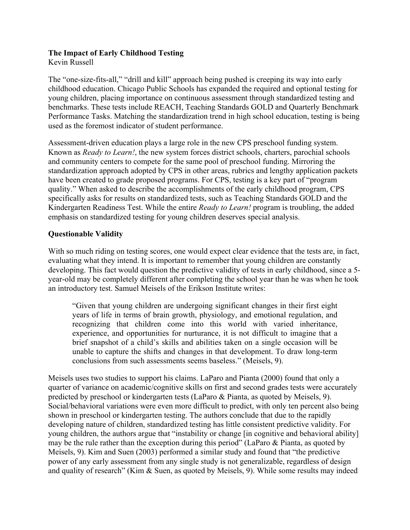# **The Impact of Early Childhood Testing**

Kevin Russell

The "one-size-fits-all," "drill and kill" approach being pushed is creeping its way into early childhood education. Chicago Public Schools has expanded the required and optional testing for young children, placing importance on continuous assessment through standardized testing and benchmarks. These tests include REACH, Teaching Standards GOLD and Quarterly Benchmark Performance Tasks. Matching the standardization trend in high school education, testing is being used as the foremost indicator of student performance.

Assessment-driven education plays a large role in the new CPS preschool funding system. Known as *Ready to Learn!*, the new system forces district schools, charters, parochial schools and community centers to compete for the same pool of preschool funding. Mirroring the standardization approach adopted by CPS in other areas, rubrics and lengthy application packets have been created to grade proposed programs. For CPS, testing is a key part of "program quality." When asked to describe the accomplishments of the early childhood program, CPS specifically asks for results on standardized tests, such as Teaching Standards GOLD and the Kindergarten Readiness Test. While the entire *Ready to Learn!* program is troubling, the added emphasis on standardized testing for young children deserves special analysis.

#### **Questionable Validity**

With so much riding on testing scores, one would expect clear evidence that the tests are, in fact, evaluating what they intend. It is important to remember that young children are constantly developing. This fact would question the predictive validity of tests in early childhood, since a 5 year-old may be completely different after completing the school year than he was when he took an introductory test. Samuel Meisels of the Erikson Institute writes:

"Given that young children are undergoing significant changes in their first eight years of life in terms of brain growth, physiology, and emotional regulation, and recognizing that children come into this world with varied inheritance, experience, and opportunities for nurturance, it is not difficult to imagine that a brief snapshot of a child's skills and abilities taken on a single occasion will be unable to capture the shifts and changes in that development. To draw long-term conclusions from such assessments seems baseless." (Meisels, 9).

Meisels uses two studies to support his claims. LaParo and Pianta (2000) found that only a quarter of variance on academic/cognitive skills on first and second grades tests were accurately predicted by preschool or kindergarten tests (LaParo & Pianta, as quoted by Meisels, 9). Social/behavioral variations were even more difficult to predict, with only ten percent also being shown in preschool or kindergarten testing. The authors conclude that due to the rapidly developing nature of children, standardized testing has little consistent predictive validity. For young children, the authors argue that "instability or change [in cognitive and behavioral ability] may be the rule rather than the exception during this period" (LaParo & Pianta, as quoted by Meisels, 9). Kim and Suen (2003) performed a similar study and found that "the predictive power of any early assessment from any single study is not generalizable, regardless of design and quality of research" (Kim & Suen, as quoted by Meisels, 9). While some results may indeed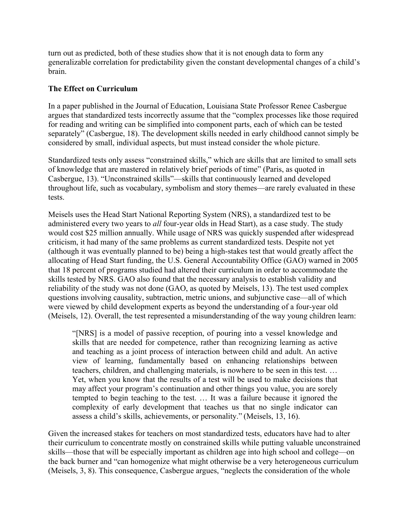turn out as predicted, both of these studies show that it is not enough data to form any generalizable correlation for predictability given the constant developmental changes of a child's brain.

#### **The Effect on Curriculum**

In a paper published in the Journal of Education, Louisiana State Professor Renee Casbergue argues that standardized tests incorrectly assume that the "complex processes like those required for reading and writing can be simplified into component parts, each of which can be tested separately" (Casbergue, 18). The development skills needed in early childhood cannot simply be considered by small, individual aspects, but must instead consider the whole picture.

Standardized tests only assess "constrained skills," which are skills that are limited to small sets of knowledge that are mastered in relatively brief periods of time" (Paris, as quoted in Casbergue, 13). "Unconstrained skills"—skills that continuously learned and developed throughout life, such as vocabulary, symbolism and story themes—are rarely evaluated in these tests.

Meisels uses the Head Start National Reporting System (NRS), a standardized test to be administered every two years to *all* four-year olds in Head Start), as a case study. The study would cost \$25 million annually. While usage of NRS was quickly suspended after widespread criticism, it had many of the same problems as current standardized tests. Despite not yet (although it was eventually planned to be) being a high-stakes test that would greatly affect the allocating of Head Start funding, the U.S. General Accountability Office (GAO) warned in 2005 that 18 percent of programs studied had altered their curriculum in order to accommodate the skills tested by NRS. GAO also found that the necessary analysis to establish validity and reliability of the study was not done (GAO, as quoted by Meisels, 13). The test used complex questions involving causality, subtraction, metric unions, and subjunctive case—all of which were viewed by child development experts as beyond the understanding of a four-year old (Meisels, 12). Overall, the test represented a misunderstanding of the way young children learn:

"[NRS] is a model of passive reception, of pouring into a vessel knowledge and skills that are needed for competence, rather than recognizing learning as active and teaching as a joint process of interaction between child and adult. An active view of learning, fundamentally based on enhancing relationships between teachers, children, and challenging materials, is nowhere to be seen in this test. … Yet, when you know that the results of a test will be used to make decisions that may affect your program's continuation and other things you value, you are sorely tempted to begin teaching to the test. … It was a failure because it ignored the complexity of early development that teaches us that no single indicator can assess a child's skills, achievements, or personality." (Meisels, 13, 16).

Given the increased stakes for teachers on most standardized tests, educators have had to alter their curriculum to concentrate mostly on constrained skills while putting valuable unconstrained skills—those that will be especially important as children age into high school and college—on the back burner and "can homogenize what might otherwise be a very heterogeneous curriculum (Meisels, 3, 8). This consequence, Casbergue argues, "neglects the consideration of the whole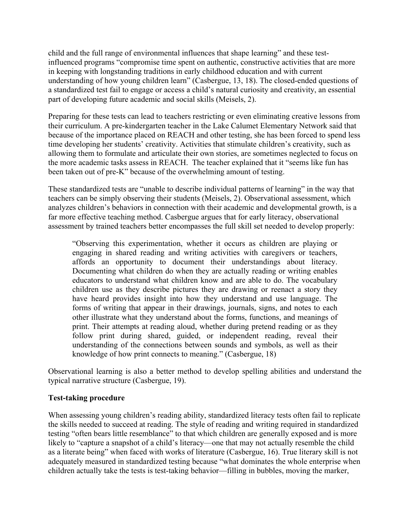child and the full range of environmental influences that shape learning" and these testinfluenced programs "compromise time spent on authentic, constructive activities that are more in keeping with longstanding traditions in early childhood education and with current understanding of how young children learn" (Casbergue, 13, 18). The closed-ended questions of a standardized test fail to engage or access a child's natural curiosity and creativity, an essential part of developing future academic and social skills (Meisels, 2).

Preparing for these tests can lead to teachers restricting or even eliminating creative lessons from their curriculum. A pre-kindergarten teacher in the Lake Calumet Elementary Network said that because of the importance placed on REACH and other testing, she has been forced to spend less time developing her students' creativity. Activities that stimulate children's creativity, such as allowing them to formulate and articulate their own stories, are sometimes neglected to focus on the more academic tasks assess in REACH. The teacher explained that it "seems like fun has been taken out of pre-K" because of the overwhelming amount of testing.

These standardized tests are "unable to describe individual patterns of learning" in the way that teachers can be simply observing their students (Meisels, 2). Observational assessment, which analyzes children's behaviors in connection with their academic and developmental growth, is a far more effective teaching method. Casbergue argues that for early literacy, observational assessment by trained teachers better encompasses the full skill set needed to develop properly:

"Observing this experimentation, whether it occurs as children are playing or engaging in shared reading and writing activities with caregivers or teachers, affords an opportunity to document their understandings about literacy. Documenting what children do when they are actually reading or writing enables educators to understand what children know and are able to do. The vocabulary children use as they describe pictures they are drawing or reenact a story they have heard provides insight into how they understand and use language. The forms of writing that appear in their drawings, journals, signs, and notes to each other illustrate what they understand about the forms, functions, and meanings of print. Their attempts at reading aloud, whether during pretend reading or as they follow print during shared, guided, or independent reading, reveal their understanding of the connections between sounds and symbols, as well as their knowledge of how print connects to meaning." (Casbergue, 18)

Observational learning is also a better method to develop spelling abilities and understand the typical narrative structure (Casbergue, 19).

## **Test-taking procedure**

When assessing young children's reading ability, standardized literacy tests often fail to replicate the skills needed to succeed at reading. The style of reading and writing required in standardized testing "often bears little resemblance" to that which children are generally exposed and is more likely to "capture a snapshot of a child's literacy—one that may not actually resemble the child as a literate being" when faced with works of literature (Casbergue, 16). True literary skill is not adequately measured in standardized testing because "what dominates the whole enterprise when children actually take the tests is test-taking behavior—filling in bubbles, moving the marker,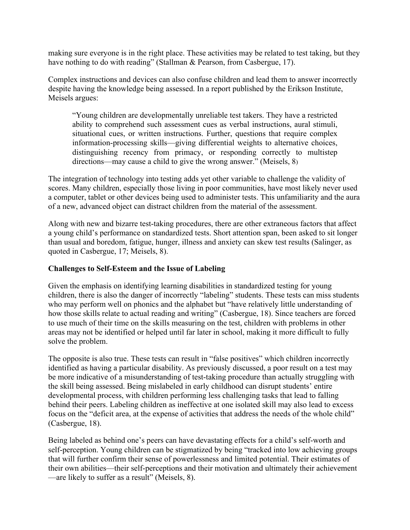making sure everyone is in the right place. These activities may be related to test taking, but they have nothing to do with reading" (Stallman & Pearson, from Casbergue, 17).

Complex instructions and devices can also confuse children and lead them to answer incorrectly despite having the knowledge being assessed. In a report published by the Erikson Institute, Meisels argues:

"Young children are developmentally unreliable test takers. They have a restricted ability to comprehend such assessment cues as verbal instructions, aural stimuli, situational cues, or written instructions. Further, questions that require complex information-processing skills—giving differential weights to alternative choices, distinguishing recency from primacy, or responding correctly to multistep directions—may cause a child to give the wrong answer." (Meisels, 8)

The integration of technology into testing adds yet other variable to challenge the validity of scores. Many children, especially those living in poor communities, have most likely never used a computer, tablet or other devices being used to administer tests. This unfamiliarity and the aura of a new, advanced object can distract children from the material of the assessment.

Along with new and bizarre test-taking procedures, there are other extraneous factors that affect a young child's performance on standardized tests. Short attention span, been asked to sit longer than usual and boredom, fatigue, hunger, illness and anxiety can skew test results (Salinger, as quoted in Casbergue, 17; Meisels, 8).

#### **Challenges to Self-Esteem and the Issue of Labeling**

Given the emphasis on identifying learning disabilities in standardized testing for young children, there is also the danger of incorrectly "labeling" students. These tests can miss students who may perform well on phonics and the alphabet but "have relatively little understanding of how those skills relate to actual reading and writing" (Casbergue, 18). Since teachers are forced to use much of their time on the skills measuring on the test, children with problems in other areas may not be identified or helped until far later in school, making it more difficult to fully solve the problem.

The opposite is also true. These tests can result in "false positives" which children incorrectly identified as having a particular disability. As previously discussed, a poor result on a test may be more indicative of a misunderstanding of test-taking procedure than actually struggling with the skill being assessed. Being mislabeled in early childhood can disrupt students' entire developmental process, with children performing less challenging tasks that lead to falling behind their peers. Labeling children as ineffective at one isolated skill may also lead to excess focus on the "deficit area, at the expense of activities that address the needs of the whole child" (Casbergue, 18).

Being labeled as behind one's peers can have devastating effects for a child's self-worth and self-perception. Young children can be stigmatized by being "tracked into low achieving groups that will further confirm their sense of powerlessness and limited potential. Their estimates of their own abilities—their self-perceptions and their motivation and ultimately their achievement —are likely to suffer as a result" (Meisels, 8).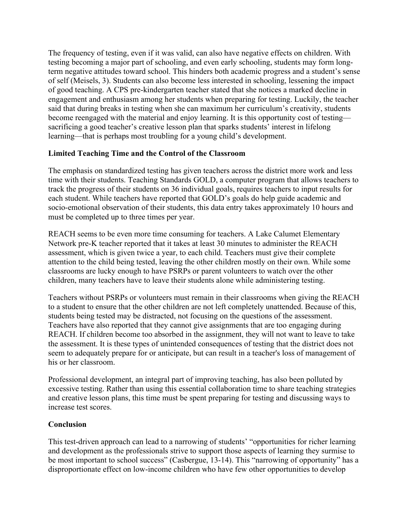The frequency of testing, even if it was valid, can also have negative effects on children. With testing becoming a major part of schooling, and even early schooling, students may form longterm negative attitudes toward school. This hinders both academic progress and a student's sense of self (Meisels, 3). Students can also become less interested in schooling, lessening the impact of good teaching. A CPS pre-kindergarten teacher stated that she notices a marked decline in engagement and enthusiasm among her students when preparing for testing. Luckily, the teacher said that during breaks in testing when she can maximum her curriculum's creativity, students become reengaged with the material and enjoy learning. It is this opportunity cost of testing sacrificing a good teacher's creative lesson plan that sparks students' interest in lifelong learning—that is perhaps most troubling for a young child's development.

## **Limited Teaching Time and the Control of the Classroom**

The emphasis on standardized testing has given teachers across the district more work and less time with their students. Teaching Standards GOLD, a computer program that allows teachers to track the progress of their students on 36 individual goals, requires teachers to input results for each student. While teachers have reported that GOLD's goals do help guide academic and socio-emotional observation of their students, this data entry takes approximately 10 hours and must be completed up to three times per year.

REACH seems to be even more time consuming for teachers. A Lake Calumet Elementary Network pre-K teacher reported that it takes at least 30 minutes to administer the REACH assessment, which is given twice a year, to each child. Teachers must give their complete attention to the child being tested, leaving the other children mostly on their own. While some classrooms are lucky enough to have PSRPs or parent volunteers to watch over the other children, many teachers have to leave their students alone while administering testing.

Teachers without PSRPs or volunteers must remain in their classrooms when giving the REACH to a student to ensure that the other children are not left completely unattended. Because of this, students being tested may be distracted, not focusing on the questions of the assessment. Teachers have also reported that they cannot give assignments that are too engaging during REACH. If children become too absorbed in the assignment, they will not want to leave to take the assessment. It is these types of unintended consequences of testing that the district does not seem to adequately prepare for or anticipate, but can result in a teacher's loss of management of his or her classroom.

Professional development, an integral part of improving teaching, has also been polluted by excessive testing. Rather than using this essential collaboration time to share teaching strategies and creative lesson plans, this time must be spent preparing for testing and discussing ways to increase test scores.

## **Conclusion**

This test-driven approach can lead to a narrowing of students' "opportunities for richer learning and development as the professionals strive to support those aspects of learning they surmise to be most important to school success" (Casbergue, 13-14). This "narrowing of opportunity" has a disproportionate effect on low-income children who have few other opportunities to develop